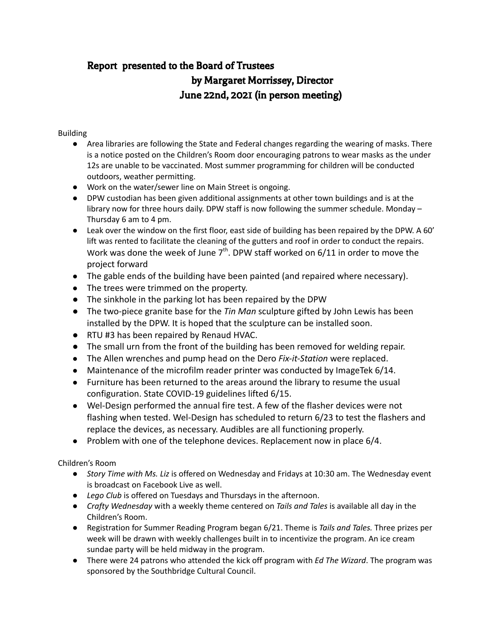# Report presented to the Board of Trustees by Margaret Morrissey, Director June 22nd, 2021 (in person meeting)

#### Building

- Area libraries are following the State and Federal changes regarding the wearing of masks. There is a notice posted on the Children's Room door encouraging patrons to wear masks as the under 12s are unable to be vaccinated. Most summer programming for children will be conducted outdoors, weather permitting.
- Work on the water/sewer line on Main Street is ongoing.
- DPW custodian has been given additional assignments at other town buildings and is at the library now for three hours daily. DPW staff is now following the summer schedule. Monday – Thursday 6 am to 4 pm.
- Leak over the window on the first floor, east side of building has been repaired by the DPW. A 60' lift was rented to facilitate the cleaning of the gutters and roof in order to conduct the repairs. Work was done the week of June  $7<sup>th</sup>$ . DPW staff worked on 6/11 in order to move the project forward
- The gable ends of the building have been painted (and repaired where necessary).
- The trees were trimmed on the property.
- The sinkhole in the parking lot has been repaired by the DPW
- The two-piece granite base for the *Tin Man* sculpture gifted by John Lewis has been installed by the DPW. It is hoped that the sculpture can be installed soon.
- RTU #3 has been repaired by Renaud HVAC.
- The small urn from the front of the building has been removed for welding repair.
- The Allen wrenches and pump head on the Dero *Fix-it-Station* were replaced.
- Maintenance of the microfilm reader printer was conducted by ImageTek 6/14.
- Furniture has been returned to the areas around the library to resume the usual configuration. State COVID-19 guidelines lifted 6/15.
- Wel-Design performed the annual fire test. A few of the flasher devices were not flashing when tested. Wel-Design has scheduled to return 6/23 to test the flashers and replace the devices, as necessary. Audibles are all functioning properly.
- Problem with one of the telephone devices. Replacement now in place 6/4.

Children's Room

- *Story Time with Ms. Liz* is offered on Wednesday and Fridays at 10:30 am. The Wednesday event is broadcast on Facebook Live as well.
- *Lego Club* is offered on Tuesdays and Thursdays in the afternoon.
- *Crafty Wednesday* with a weekly theme centered on *Tails and Tales* is available all day in the Children's Room.
- Registration for Summer Reading Program began 6/21. Theme is *Tails and Tales.* Three prizes per week will be drawn with weekly challenges built in to incentivize the program. An ice cream sundae party will be held midway in the program.
- There were 24 patrons who attended the kick off program with *Ed The Wizard*. The program was sponsored by the Southbridge Cultural Council.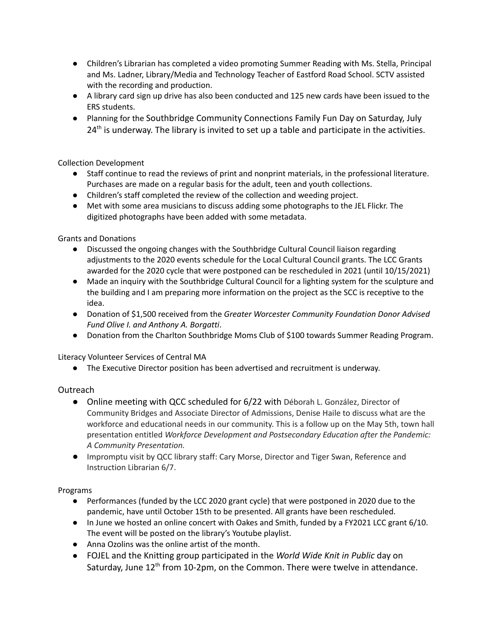- Children's Librarian has completed a video promoting Summer Reading with Ms. Stella, Principal and Ms. Ladner, Library/Media and Technology Teacher of Eastford Road School. SCTV assisted with the recording and production.
- A library card sign up drive has also been conducted and 125 new cards have been issued to the ERS students.
- Planning for the Southbridge Community Connections Family Fun Day on Saturday, July  $24<sup>th</sup>$  is underway. The library is invited to set up a table and participate in the activities.

Collection Development

- Staff continue to read the reviews of print and nonprint materials, in the professional literature. Purchases are made on a regular basis for the adult, teen and youth collections.
- Children's staff completed the review of the collection and weeding project.
- Met with some area musicians to discuss adding some photographs to the JEL Flickr. The digitized photographs have been added with some metadata.

Grants and Donations

- Discussed the ongoing changes with the Southbridge Cultural Council liaison regarding adjustments to the 2020 events schedule for the Local Cultural Council grants. The LCC Grants awarded for the 2020 cycle that were postponed can be rescheduled in 2021 (until 10/15/2021)
- Made an inquiry with the Southbridge Cultural Council for a lighting system for the sculpture and the building and I am preparing more information on the project as the SCC is receptive to the idea.
- Donation of \$1,500 received from the *Greater Worcester Community Foundation Donor Advised Fund Olive I. and Anthony A. Borgatti*.
- Donation from the Charlton Southbridge Moms Club of \$100 towards Summer Reading Program.

Literacy Volunteer Services of Central MA

● The Executive Director position has been advertised and recruitment is underway.

#### Outreach

- Online meeting with QCC scheduled for 6/22 with Déborah L. González, Director of Community Bridges and Associate Director of Admissions, Denise Haile to discuss what are the workforce and educational needs in our community. This is a follow up on the May 5th, town hall presentation entitled *Workforce Development and Postsecondary Education after the Pandemic: A Community Presentation.*
- Impromptu visit by QCC library staff: Cary Morse, Director and Tiger Swan, Reference and Instruction Librarian 6/7.

#### Programs

- Performances (funded by the LCC 2020 grant cycle) that were postponed in 2020 due to the pandemic, have until October 15th to be presented. All grants have been rescheduled.
- In June we hosted an online concert with Oakes and Smith, funded by a FY2021 LCC grant 6/10. The event will be posted on the library's Youtube playlist.
- Anna Ozolins was the online artist of the month.
- FOJEL and the Knitting group participated in the *World Wide Knit in Public* day on Saturday, June 12<sup>th</sup> from 10-2pm, on the Common. There were twelve in attendance.